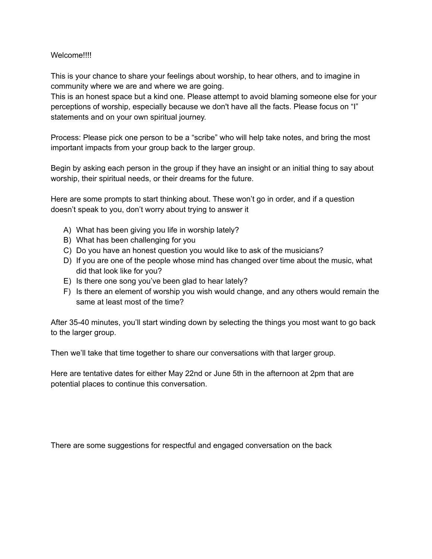## Welcome!!!!

This is your chance to share your feelings about worship, to hear others, and to imagine in community where we are and where we are going.

This is an honest space but a kind one. Please attempt to avoid blaming someone else for your perceptions of worship, especially because we don't have all the facts. Please focus on "I" statements and on your own spiritual journey.

Process: Please pick one person to be a "scribe" who will help take notes, and bring the most important impacts from your group back to the larger group.

Begin by asking each person in the group if they have an insight or an initial thing to say about worship, their spiritual needs, or their dreams for the future.

Here are some prompts to start thinking about. These won't go in order, and if a question doesn't speak to you, don't worry about trying to answer it

- A) What has been giving you life in worship lately?
- B) What has been challenging for you
- C) Do you have an honest question you would like to ask of the musicians?
- D) If you are one of the people whose mind has changed over time about the music, what did that look like for you?
- E) Is there one song you've been glad to hear lately?
- F) Is there an element of worship you wish would change, and any others would remain the same at least most of the time?

After 35-40 minutes, you'll start winding down by selecting the things you most want to go back to the larger group.

Then we'll take that time together to share our conversations with that larger group.

Here are tentative dates for either May 22nd or June 5th in the afternoon at 2pm that are potential places to continue this conversation.

There are some suggestions for respectful and engaged conversation on the back